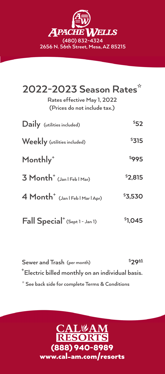

| 2022-2023 Season Rates*<br>Rates effective May 1, 2022<br>(Prices do not include tax.) |              |
|----------------------------------------------------------------------------------------|--------------|
| Daily (utilities included)                                                             | \$52         |
| Weekly (utilities included)                                                            | \$315        |
| Monthly <sup>+</sup>                                                                   | <b>\$995</b> |
| $3$ Month <sup>+</sup> (Jan   Feb   Mar)                                               | \$2,815      |
| 4 Month <sup>+</sup> (Jan   Feb   Mar   Apr)                                           | \$3,530      |
| Fall Special <sup>+</sup> (Sept 1 - Jan 1)                                             | \$1.045      |

**Sewer and Trash (per month) \$ 2965 + Electric billed monthly on an individual basis. \* See back side for complete Terms & Conditions**